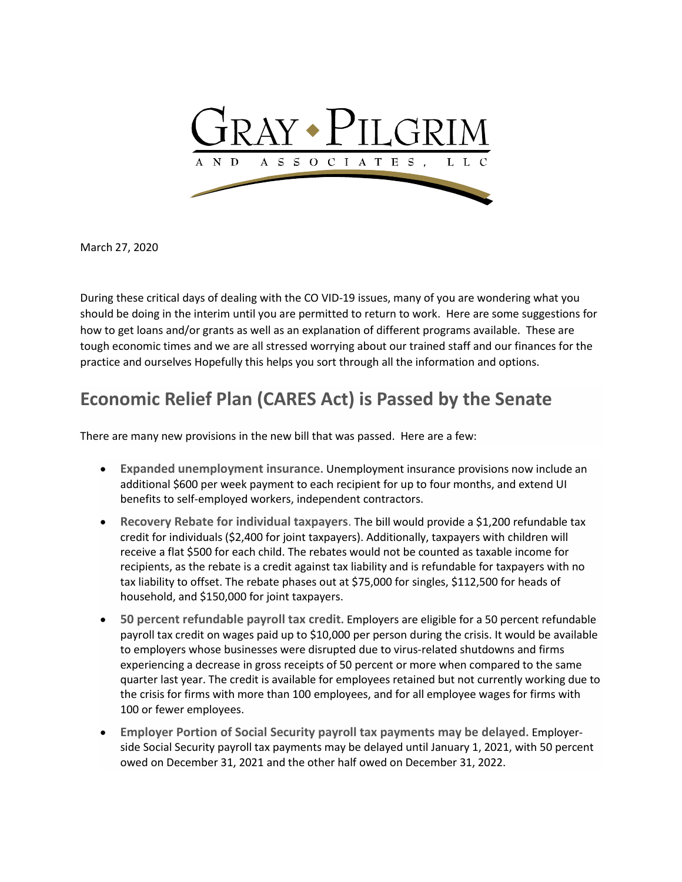

March 27, 2020

During these critical days of dealing with the CO VID-19 issues, many of you are wondering what you should be doing in the interim until you are permitted to return to work. Here are some suggestions for how to get loans and/or grants as well as an explanation of different programs available. These are tough economic times and we are all stressed worrying about our trained staff and our finances for the practice and ourselves Hopefully this helps you sort through all the information and options.

## **Economic Relief Plan (CARES Act) is Passed by the Senate**

There are many new provisions in the new bill that was passed. Here are a few:

- **Expanded unemployment insurance.** Unemployment insurance provisions now include an additional \$600 per week payment to each recipient for up to four months, and extend UI benefits to self-employed workers, independent contractors.
- **Recovery Rebate for individual taxpayers**. The bill would provide a \$1,200 refundable tax credit for individuals (\$2,400 for joint taxpayers). Additionally, taxpayers with children will receive a flat \$500 for each child. The rebates would not be counted as taxable income for recipients, as the rebate is a credit against tax liability and is refundable for taxpayers with no tax liability to offset. The rebate phases out at \$75,000 for singles, \$112,500 for heads of household, and \$150,000 for joint taxpayers.
- **50 percent refundable payroll tax credit.** Employers are eligible for a 50 percent refundable payroll tax credit on wages paid up to \$10,000 per person during the crisis. It would be available to employers whose businesses were disrupted due to virus-related shutdowns and firms experiencing a decrease in gross receipts of 50 percent or more when compared to the same quarter last year. The credit is available for employees retained but not currently working due to the crisis for firms with more than 100 employees, and for all employee wages for firms with 100 or fewer employees.
- **Employer Portion of Social Security payroll tax payments may be delayed.** Employerside Social Security payroll tax payments may be delayed until January 1, 2021, with 50 percent owed on December 31, 2021 and the other half owed on December 31, 2022.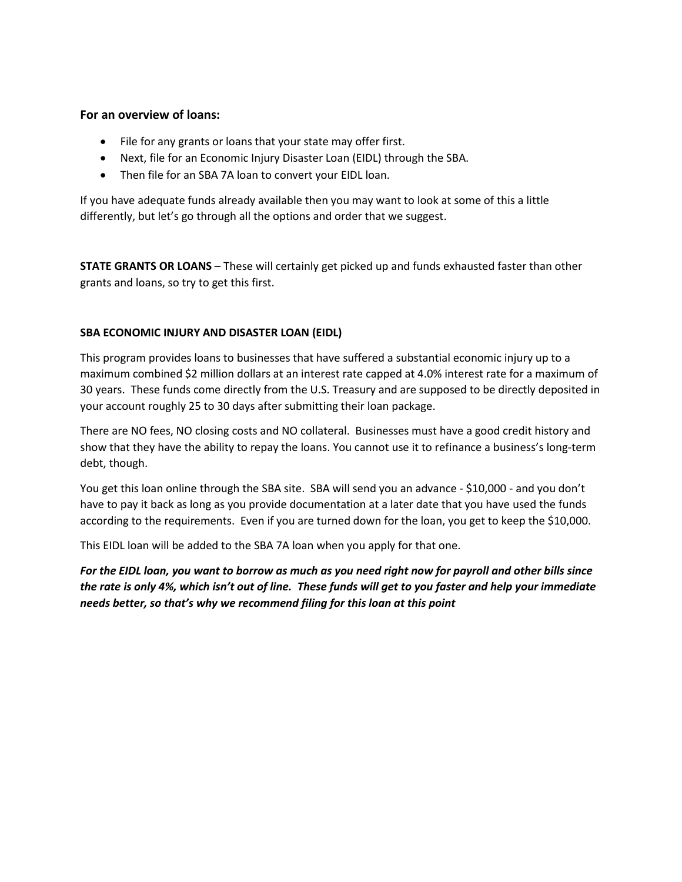## **For an overview of loans:**

- File for any grants or loans that your state may offer first.
- Next, file for an Economic Injury Disaster Loan (EIDL) through the SBA.
- Then file for an SBA 7A loan to convert your EIDL loan.

If you have adequate funds already available then you may want to look at some of this a little differently, but let's go through all the options and order that we suggest.

**STATE GRANTS OR LOANS** – These will certainly get picked up and funds exhausted faster than other grants and loans, so try to get this first.

## **SBA ECONOMIC INJURY AND DISASTER LOAN (EIDL)**

This program provides loans to businesses that have suffered a substantial economic injury up to a maximum combined \$2 million dollars at an interest rate capped at 4.0% interest rate for a maximum of 30 years. These funds come directly from the U.S. Treasury and are supposed to be directly deposited in your account roughly 25 to 30 days after submitting their loan package.

There are NO fees, NO closing costs and NO collateral. Businesses must have a good credit history and show that they have the ability to repay the loans. You cannot use it to refinance a business's long-term debt, though.

You get this loan online through the SBA site. SBA will send you an advance - \$10,000 - and you don't have to pay it back as long as you provide documentation at a later date that you have used the funds according to the requirements. Even if you are turned down for the loan, you get to keep the \$10,000.

This EIDL loan will be added to the SBA 7A loan when you apply for that one.

*For the EIDL loan, you want to borrow as much as you need right now for payroll and other bills since the rate is only 4%, which isn't out of line. These funds will get to you faster and help your immediate needs better, so that's why we recommend filing for this loan at this point*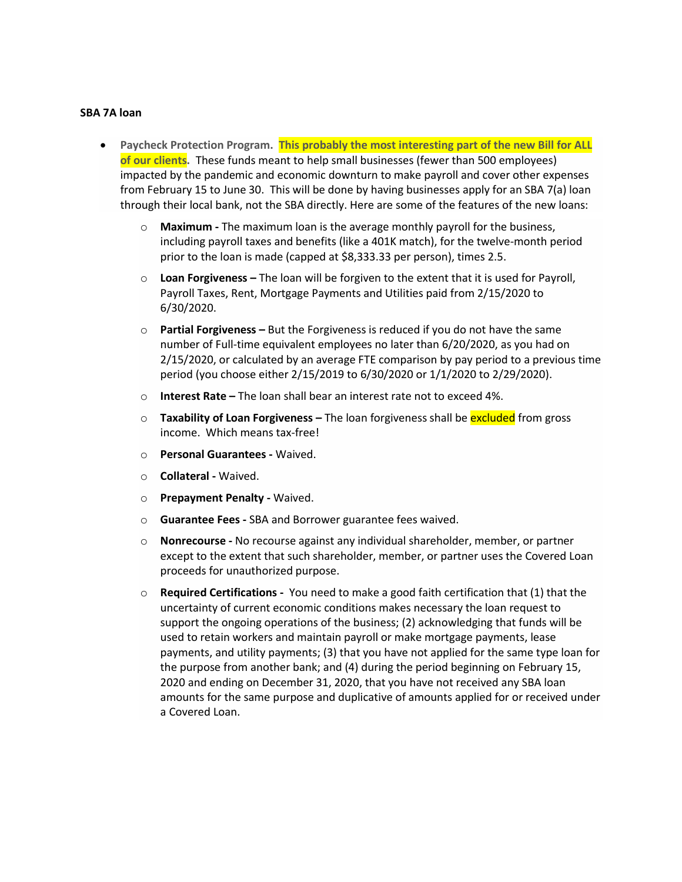## **SBA 7A loan**

- **Paycheck Protection Program. This probably the most interesting part of the new Bill for ALL of our clients.** These funds meant to help small businesses (fewer than 500 employees) impacted by the pandemic and economic downturn to make payroll and cover other expenses from February 15 to June 30. This will be done by having businesses apply for an SBA 7(a) loan through their local bank, not the SBA directly. Here are some of the features of the new loans:
	- o **Maximum -** The maximum loan is the average monthly payroll for the business, including payroll taxes and benefits (like a 401K match), for the twelve-month period prior to the loan is made (capped at \$8,333.33 per person), times 2.5.
	- o **Loan Forgiveness –** The loan will be forgiven to the extent that it is used for Payroll, Payroll Taxes, Rent, Mortgage Payments and Utilities paid from 2/15/2020 to 6/30/2020.
	- o **Partial Forgiveness –** But the Forgiveness is reduced if you do not have the same number of Full-time equivalent employees no later than 6/20/2020, as you had on 2/15/2020, or calculated by an average FTE comparison by pay period to a previous time period (you choose either 2/15/2019 to 6/30/2020 or 1/1/2020 to 2/29/2020).
	- o **Interest Rate –** The loan shall bear an interest rate not to exceed 4%.
	- o **Taxability of Loan Forgiveness –** The loan forgiveness shall be excluded from gross income. Which means tax-free!
	- o **Personal Guarantees -** Waived.
	- o **Collateral -** Waived.
	- o **Prepayment Penalty -** Waived.
	- o **Guarantee Fees -** SBA and Borrower guarantee fees waived.
	- o **Nonrecourse -** No recourse against any individual shareholder, member, or partner except to the extent that such shareholder, member, or partner uses the Covered Loan proceeds for unauthorized purpose.
	- o **Required Certifications -** You need to make a good faith certification that (1) that the uncertainty of current economic conditions makes necessary the loan request to support the ongoing operations of the business; (2) acknowledging that funds will be used to retain workers and maintain payroll or make mortgage payments, lease payments, and utility payments; (3) that you have not applied for the same type loan for the purpose from another bank; and (4) during the period beginning on February 15, 2020 and ending on December 31, 2020, that you have not received any SBA loan amounts for the same purpose and duplicative of amounts applied for or received under a Covered Loan.